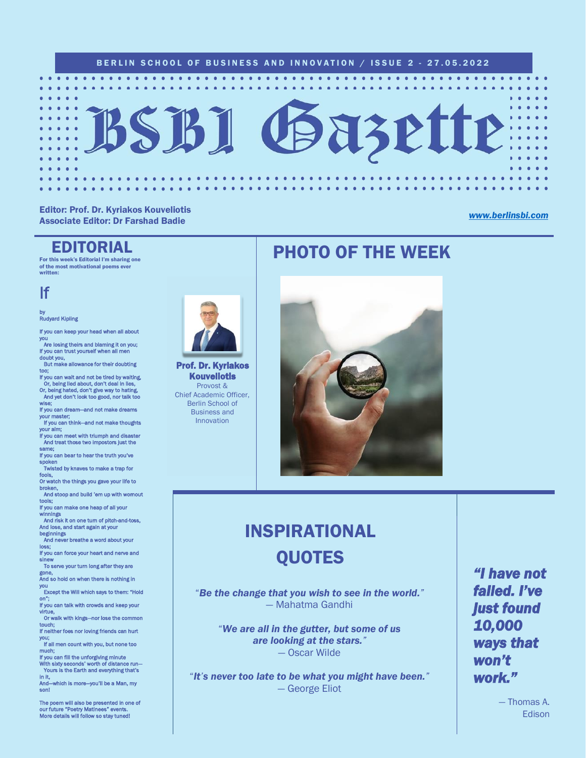#### BERLIN SCHOOL OF BUSINESS AND INNOVATION / ISSUE 2 - 27.05.2022



#### Editor: Prof. Dr. Kyriakos Kouveliotis Associate Editor: Dr Farshad Badie *[www.berlinsbi.com](http://www.berlinsbi.com/)*

### EDITORIAL

For this week's Editorial I'm sharing one of the most motivational poems ever written:

If

### by<br>Rudyard Kipling

If you can keep your head when all about

you Are losing theirs and blaming it on you; If you can trust yourself when all men doubt you, But make allowance for their doubting

too;

If you can wait and not be tired by waiting, Or, being lied about, don't deal in lies, Or, being hated, don't give way to hating, And yet don't look too good, nor talk too

wise; If you can dream—and not make dreams

your master; If you can think—and not make thoughts

your aim; If you can meet with triumph and disaster And treat those two impostors just the

same<mark>;</mark><br>If you can bear to hear the truth you've

spoken Twisted by knaves to make a trap for

fools,<br>Or watch the things you gave your life to<br>broken,

And stoop and build 'em up with wornout

tools; If you can make one heap of all your

winning And risk it on one turn of pitch-and-toss, And lose, and start again at your

beginnings And never breathe a word about your loss;

Ioss;<br>If you can force your heart and nerve and

sinew<br>To serve your turn long after they are gone<mark>,</mark><br>And so hold on when there is nothing in

you

 Except the Will which says to them: "Hold on";

If you can talk with crowds and keep your virtue, Or walk with kings—nor lose the common

touch; If neither foes nor loving friends can hurt

you; If all men count with you, but none too

much;

If you can fill the unforgiving minute With sixty seconds' worth of distance run— Yours is the Earth and everything that's

in <mark>it,</mark><br>And—which is more—you'll be a Man, my son!

The poem will also be presented in one of our future "Poetry Matinees" events. More details will follow so stay tuned!



Prof. Dr. Kyriakos Kouveliotis Provost & Chief Academic Officer, Berlin School of Business and Innovation

### PHOTO OF THE WEEK



## INSPIRATIONAL **OUOTES**

"*Be the change that you wish to see in the world."* — Mahatma Gandhi

"*We are all in the gutter, but some of us are looking at the stars."* — Oscar Wilde

"*It's never too late to be what you might have been."* — George Eliot

*"I have not failed. I've just found 10,000 ways that won't work."* 

> — Thomas A. Edison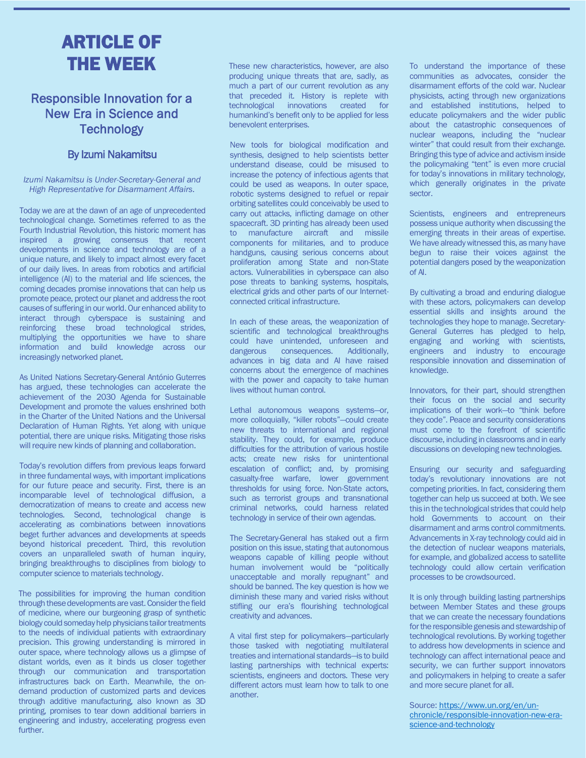### ARTICLE OF THE WEEK

### Responsible Innovation for a New Era in Science and **Technology**

### By Izumi Nakamitsu

#### *Izumi Nakamitsu is Under-Secretary-General and High Representative for Disarmament Affairs.*

Today we are at the dawn of an age of unprecedented technological change. Sometimes referred to as the Fourth Industrial Revolution, this historic moment has inspired a growing consensus that recent developments in science and technology are of a unique nature, and likely to impact almost every facet of our daily lives. In areas from robotics and artificial intelligence (AI) to the material and life sciences, the coming decades promise innovations that can help us promote peace, protect our planet and address the root causes of suffering in our world. Our enhanced ability to interact through cyberspace is sustaining and reinforcing these broad technological strides, multiplying the opportunities we have to share information and build knowledge across our increasingly networked planet.

As United Nations Secretary-General António Guterres has argued, these technologies can accelerate the achievement of the 2030 Agenda for Sustainable Development and promote the values enshrined both in the Charter of the United Nations and the Universal Declaration of Human Rights. Yet along with unique potential, there are unique risks. Mitigating those risks will require new kinds of planning and collaboration.

Today's revolution differs from previous leaps forward in three fundamental ways, with important implications for our future peace and security. First, there is an incomparable level of technological diffusion, a democratization of means to create and access new technologies. Second, technological change is accelerating as combinations between innovations beget further advances and developments at speeds beyond historical precedent. Third, this revolution covers an unparalleled swath of human inquiry, bringing breakthroughs to disciplines from biology to computer science to materials technology.

The possibilities for improving the human condition through these developments are vast. Consider the field of medicine, where our burgeoning grasp of synthetic biology could someday help physicians tailor treatments to the needs of individual patients with extraordinary precision. This growing understanding is mirrored in outer space, where technology allows us a glimpse of distant worlds, even as it binds us closer together through our communication and transportation infrastructures back on Earth. Meanwhile, the ondemand production of customized parts and devices through additive manufacturing, also known as 3D printing, promises to tear down additional barriers in engineering and industry, accelerating progress even further.

These new characteristics, however, are also producing unique threats that are, sadly, as much a part of our current revolution as any that preceded it. History is replete with technological innovations created for humankind's benefit only to be applied for less benevolent enterprises.

New tools for biological modification and synthesis, designed to help scientists better understand disease, could be misused to increase the potency of infectious agents that could be used as weapons. In outer space, robotic systems designed to refuel or repair orbiting satellites could conceivably be used to carry out attacks, inflicting damage on other spacecraft. 3D printing has already been used to manufacture aircraft and missile components for militaries, and to produce handguns, causing serious concerns about proliferation among State and non-State actors. Vulnerabilities in cyberspace can also pose threats to banking systems, hospitals, electrical grids and other parts of our Internetconnected critical infrastructure.

In each of these areas, the weaponization of scientific and technological breakthroughs could have unintended, unforeseen and dangerous consequences. Additionally, advances in big data and AI have raised concerns about the emergence of machines with the power and capacity to take human lives without human control.

Lethal autonomous weapons systems—or, more colloquially, "killer robots"—could create new threats to international and regional stability. They could, for example, produce difficulties for the attribution of various hostile acts; create new risks for unintentional escalation of conflict; and, by promising casualty-free warfare, lower government thresholds for using force. Non-State actors, such as terrorist groups and transnational criminal networks, could harness related technology in service of their own agendas.

The Secretary-General has staked out a firm position on this issue, stating that autonomous weapons capable of killing people without human involvement would be "politically unacceptable and morally repugnant" and should be banned. The key question is how we diminish these many and varied risks without stifling our era's flourishing technological creativity and advances.

A vital first step for policymakers—particularly those tasked with negotiating multilateral treaties and international standards—is to build lasting partnerships with technical experts: scientists, engineers and doctors. These very different actors must learn how to talk to one another.

To understand the importance of these communities as advocates, consider the disarmament efforts of the cold war. Nuclear physicists, acting through new organizations and established institutions, helped to educate policymakers and the wider public about the catastrophic consequences of nuclear weapons, including the "nuclear winter" that could result from their exchange. Bringing this type of advice and activism inside the policymaking "tent" is even more crucial for today's innovations in military technology, which generally originates in the private sector.

Scientists, engineers and entrepreneurs possess unique authority when discussing the emerging threats in their areas of expertise. We have already witnessed this, as many have begun to raise their voices against the potential dangers posed by the weaponization of AI.

By cultivating a broad and enduring dialogue with these actors, policymakers can develop essential skills and insights around the technologies they hope to manage. Secretary-General Guterres has pledged to help, engaging and working with scientists, engineers and industry to encourage responsible innovation and dissemination of knowledge.

Innovators, for their part, should strengthen their focus on the social and security implications of their work—to "think before they code". Peace and security considerations must come to the forefront of scientific discourse, including in classrooms and in early discussions on developing new technologies.

Ensuring our security and safeguarding today's revolutionary innovations are not competing priorities. In fact, considering them together can help us succeed at both. We see this in the technological strides that could help hold Governments to account on their disarmament and arms control commitments. Advancements in X-ray technology could aid in the detection of nuclear weapons materials, for example, and globalized access to satellite technology could allow certain verification processes to be crowdsourced.

It is only through building lasting partnerships between Member States and these groups that we can create the necessary foundations for the responsible genesis and stewardship of technological revolutions. By working together to address how developments in science and technology can affect international peace and security, we can further support innovators and policymakers in helping to create a safer and more secure planet for all.

Source: [https://www.un.org/en/un](https://www.un.org/en/un-chronicle/responsible-innovation-new-era-science-and-technology)[chronicle/responsible-innovation-new-era](https://www.un.org/en/un-chronicle/responsible-innovation-new-era-science-and-technology)[science-and-technology](https://www.un.org/en/un-chronicle/responsible-innovation-new-era-science-and-technology)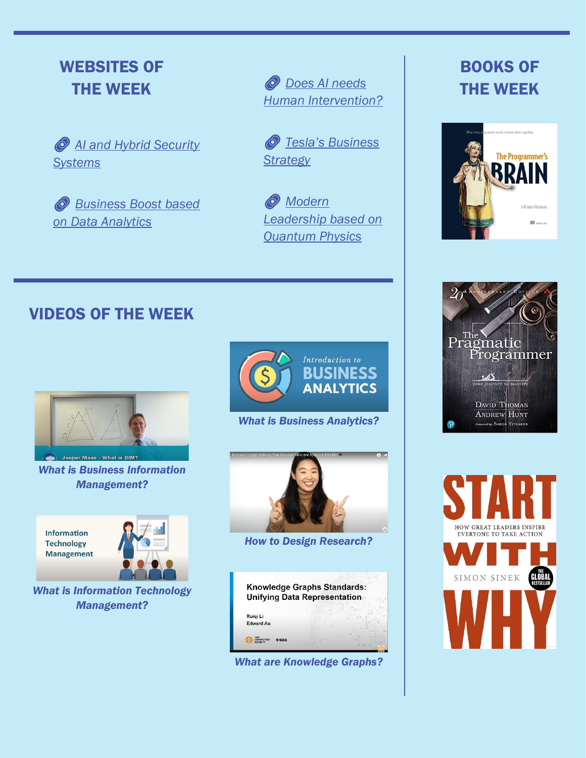### WEBSITES OF THE WEEK

 *[AI and Hybrid Security](https://www.artificialintelligence-news.com/2022/05/10/what-leveraging-ai-in-hybrid-security-systems-means-for-enterprises/)  [Systems](https://www.artificialintelligence-news.com/2022/05/10/what-leveraging-ai-in-hybrid-security-systems-means-for-enterprises/)*

 *[Business Boost based](https://www.artificialintelligence-news.com/2022/04/08/ready-boost-your-business-analytics-data-expert-reveals-all/)  [on Data Analytics](https://www.artificialintelligence-news.com/2022/04/08/ready-boost-your-business-analytics-data-expert-reveals-all/)*

 *[Does AI needs](https://www.artificialintelligence-news.com/2022/01/19/why-ai-needs-human-intervention/)  [Human Intervention?](https://www.artificialintelligence-news.com/2022/01/19/why-ai-needs-human-intervention/)*

 *[Tesla's Business](https://theconversation.com/teslas-business-strategy-is-not-chaotic-its-brilliant-127153)  [Strategy](https://theconversation.com/teslas-business-strategy-is-not-chaotic-its-brilliant-127153)*

 *[Modern](https://theconversation.com/quantum-physics-offers-insights-about-leadership-in-the-21st-century-182622)  [Leadership based on](https://theconversation.com/quantum-physics-offers-insights-about-leadership-in-the-21st-century-182622)  [Quantum Physics](https://theconversation.com/quantum-physics-offers-insights-about-leadership-in-the-21st-century-182622)*

### BOOKS OF THE WEEK



### VIDEOS OF THE WEEK



*What is Business Information Management?*

**Information Technology Management** 



*What is Information Technology Management?*



*What is Business Analytics?*



*How to Design Research?*

| Knowledge Graphs Standards:<br><b>Unifying Data Representation</b> |  |
|--------------------------------------------------------------------|--|
|                                                                    |  |
| Ruigi Li                                                           |  |
| <b>Edward Au</b>                                                   |  |
|                                                                    |  |

*What are Knowledge Graphs?*



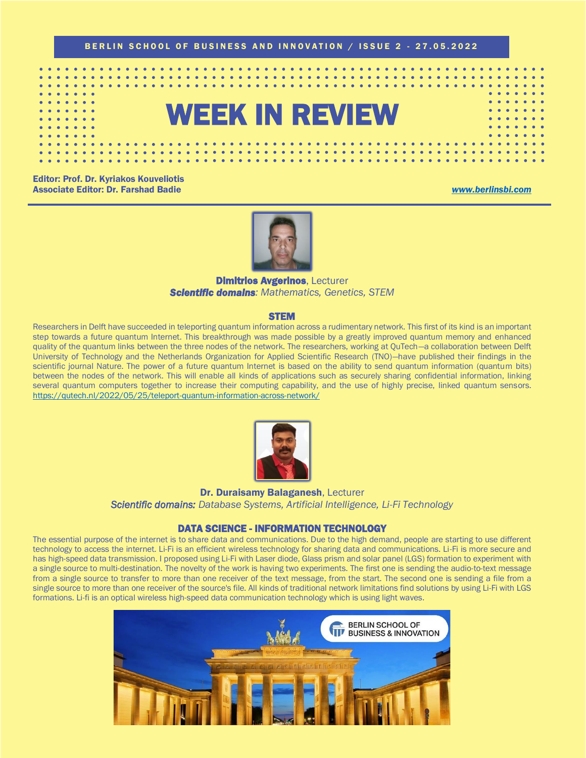

# WEEK IN REVIEW

Editor: Prof. Dr. Kyriakos Kouveliotis Associate Editor: Dr. Farshad Badie *[www.berlinsbi.com](http://www.berlinsbi.com/)*



#### **Dimitrios Avgerinos, Lecturer** *Scientific domains: Mathematics, Genetics, STEM*

#### **STEM**

Researchers in Delft have succeeded in teleporting quantum information across a rudimentary network. This first of its kind is an important step towards a future quantum Internet. This breakthrough was made possible by a greatly improved quantum memory and enhanced quality of the quantum links between the three nodes of the network. The researchers, working at QuTech—a collaboration between Delft University of Technology and the Netherlands Organization for Applied Scientific Research (TNO)—have published their findings in the scientific journal Nature. The power of a future quantum Internet is based on the ability to send quantum information (quantum bits) between the nodes of the network. This will enable all kinds of applications such as securely sharing confidential information, linking several quantum computers together to increase their computing capability, and the use of highly precise, linked quantum sensors. <https://qutech.nl/2022/05/25/teleport-quantum-information-across-network/>



Dr. Duraisamy Balaganesh, Lecturer *Scientific domains: Database Systems, Artificial Intelligence, Li-Fi Technology*

#### DATA SCIENCE - INFORMATION TECHNOLOGY

The essential purpose of the internet is to share data and communications. Due to the high demand, people are starting to use different technology to access the internet. Li-Fi is an efficient wireless technology for sharing data and communications. Li-Fi is more secure and has high-speed data transmission. I proposed using Li-Fi with Laser diode, Glass prism and solar panel (LGS) formation to experiment with a single source to multi-destination. The novelty of the work is having two experiments. The first one is sending the audio-to-text message from a single source to transfer to more than one receiver of the text message, from the start. The second one is sending a file from a single source to more than one receiver of the source's file. All kinds of traditional network limitations find solutions by using Li-Fi with LGS formations. Li-fi is an optical wireless high-speed data communication technology which is using light waves.